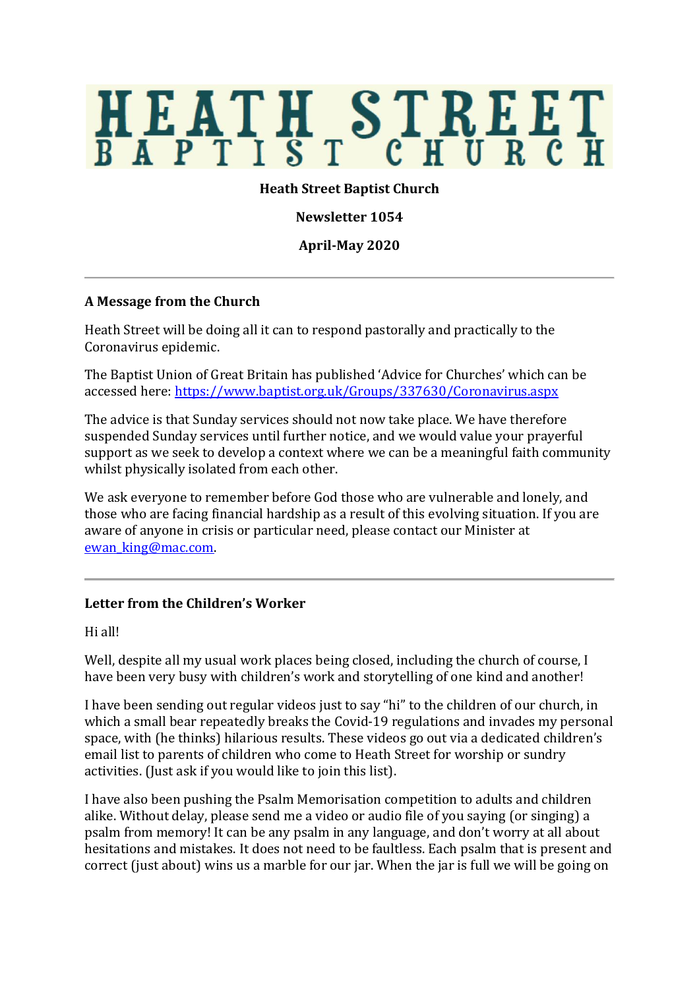# HEATH STREET

## **Heath Street Baptist Church**

**Newsletter 1054**

**April-May 2020**

### **A Message from the Church**

Heath Street will be doing all it can to respond pastorally and practically to the Coronavirus epidemic.

The Baptist Union of Great Britain has published 'Advice for Churches' which can be accessed here:<https://www.baptist.org.uk/Groups/337630/Coronavirus.aspx>

The advice is that Sunday services should not now take place. We have therefore suspended Sunday services until further notice, and we would value your prayerful support as we seek to develop a context where we can be a meaningful faith community whilst physically isolated from each other.

We ask everyone to remember before God those who are vulnerable and lonely, and those who are facing financial hardship as a result of this evolving situation. If you are aware of anyone in crisis or particular need, please contact our Minister at [ewan\\_king@mac.com.](mailto:ewan_king@mac.com) 

### **Letter from the Children's Worker**

Hi all!

Well, despite all my usual work places being closed, including the church of course, I have been very busy with children's work and storytelling of one kind and another!

I have been sending out regular videos just to say "hi" to the children of our church, in which a small bear repeatedly breaks the Covid-19 regulations and invades my personal space, with (he thinks) hilarious results. These videos go out via a dedicated children's email list to parents of children who come to Heath Street for worship or sundry activities. (Just ask if you would like to join this list).

I have also been pushing the Psalm Memorisation competition to adults and children alike. Without delay, please send me a video or audio file of you saying (or singing) a psalm from memory! It can be any psalm in any language, and don't worry at all about hesitations and mistakes. It does not need to be faultless. Each psalm that is present and correct (just about) wins us a marble for our jar. When the jar is full we will be going on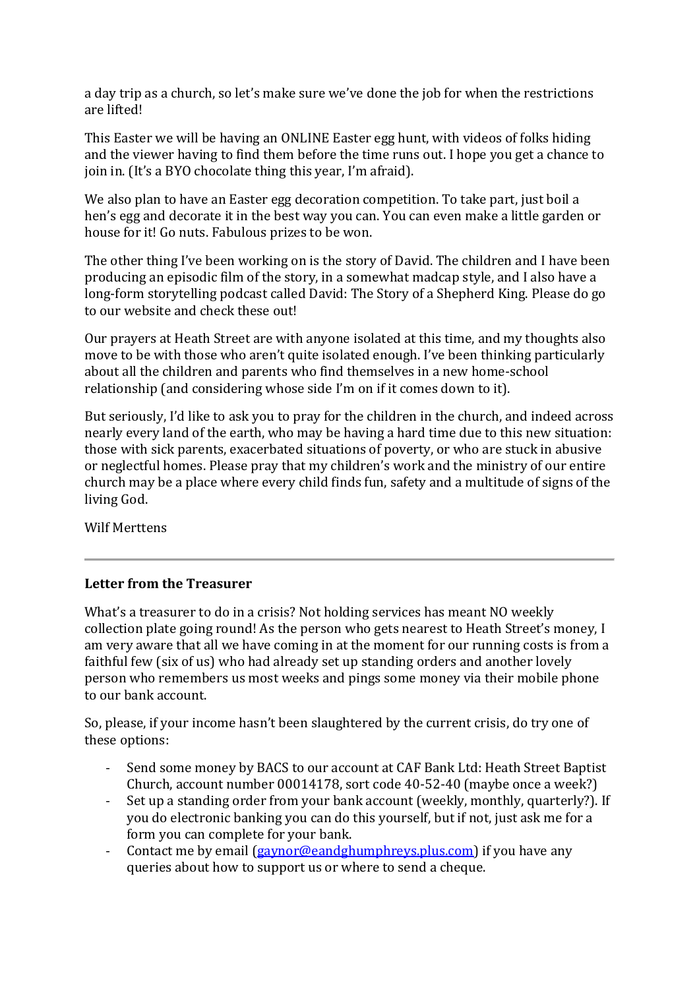a day trip as a church, so let's make sure we've done the job for when the restrictions are lifted!

This Easter we will be having an ONLINE Easter egg hunt, with videos of folks hiding and the viewer having to find them before the time runs out. I hope you get a chance to join in. (It's a BYO chocolate thing this year, I'm afraid).

We also plan to have an Easter egg decoration competition. To take part, just boil a hen's egg and decorate it in the best way you can. You can even make a little garden or house for it! Go nuts. Fabulous prizes to be won.

The other thing I've been working on is the story of David. The children and I have been producing an episodic film of the story, in a somewhat madcap style, and I also have a long-form storytelling podcast called David: The Story of a Shepherd King. Please do go to our website and check these out!

Our prayers at Heath Street are with anyone isolated at this time, and my thoughts also move to be with those who aren't quite isolated enough. I've been thinking particularly about all the children and parents who find themselves in a new home-school relationship (and considering whose side I'm on if it comes down to it).

But seriously, I'd like to ask you to pray for the children in the church, and indeed across nearly every land of the earth, who may be having a hard time due to this new situation: those with sick parents, exacerbated situations of poverty, or who are stuck in abusive or neglectful homes. Please pray that my children's work and the ministry of our entire church may be a place where every child finds fun, safety and a multitude of signs of the living God.

Wilf Merttens

# **Letter from the Treasurer**

What's a treasurer to do in a crisis? Not holding services has meant NO weekly collection plate going round! As the person who gets nearest to Heath Street's money, I am very aware that all we have coming in at the moment for our running costs is from a faithful few (six of us) who had already set up standing orders and another lovely person who remembers us most weeks and pings some money via their mobile phone to our bank account.

So, please, if your income hasn't been slaughtered by the current crisis, do try one of these options:

- Send some money by BACS to our account at CAF Bank Ltd: Heath Street Baptist Church, account number 00014178, sort code 40-52-40 (maybe once a week?)
- Set up a standing order from your bank account (weekly, monthly, quarterly?). If you do electronic banking you can do this yourself, but if not, just ask me for a form you can complete for your bank.
- Contact me by email [\(gaynor@eandghumphreys.plus.com\)](mailto:gaynor@eandghumphreys.plus.com) if you have any queries about how to support us or where to send a cheque.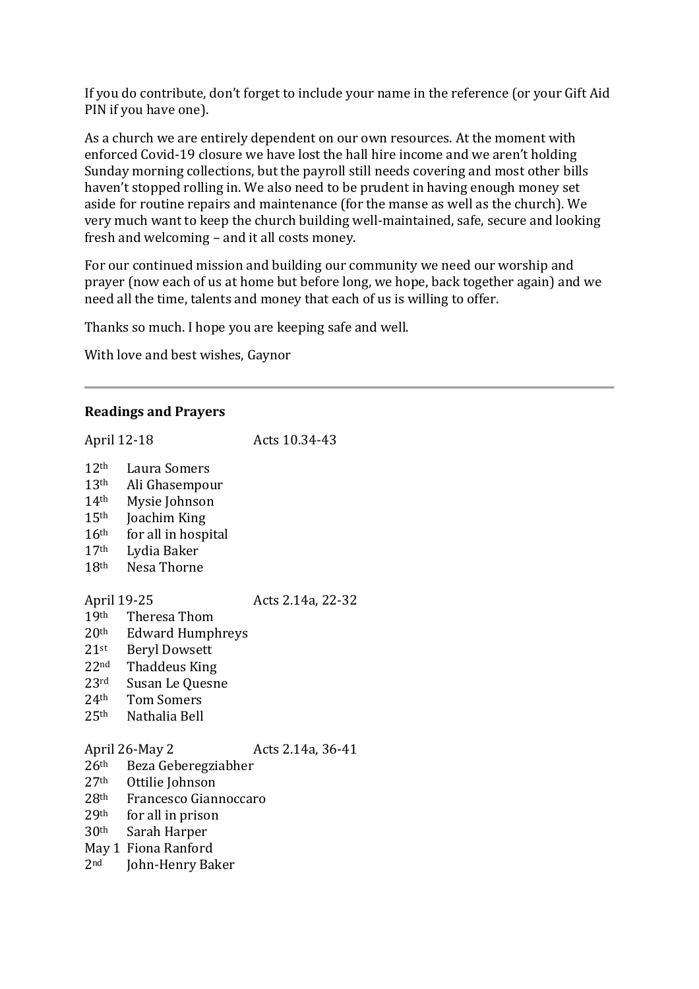If you do contribute, don't forget to include your name in the reference (or your Gift Aid PIN if you have one).

As a church we are entirely dependent on our own resources. At the moment with enforced Covid-19 closure we have lost the hall hire income and we aren't holding Sunday morning collections, but the payroll still needs covering and most other bills haven't stopped rolling in. We also need to be prudent in having enough money set aside for routine repairs and maintenance (for the manse as well as the church). We very much want to keep the church building well-maintained, safe, secure and looking fresh and welcoming – and it all costs money.

For our continued mission and building our community we need our worship and prayer (now each of us at home but before long, we hope, back together again) and we need all the time, talents and money that each of us is willing to offer.

Thanks so much. I hope you are keeping safe and well.

With love and best wishes, Gaynor

### **Readings and Prayers**

April 12-18 Acts 10.34-43 th Laura Somers th Ali Ghasempour th Mysie Johnson  $15<sup>th</sup>$  Joachim King th for all in hospital th Lydia Baker th Nesa Thorne April 19-25 Acts 2.14a, 22-32 th Theresa Thom th Edward Humphreys st Beryl Dowsett nd Thaddeus King rd Susan Le Quesne 24<sup>th</sup> Tom Somers<br>25<sup>th</sup> Nathalia Bell Nathalia Bell April 26-May 2 Acts 2.14a, 36-41 th Beza Geberegziabher th Ottilie Johnson th Francesco Giannoccaro th for all in prison th Sarah Harper May 1 Fiona Ranford nd John-Henry Baker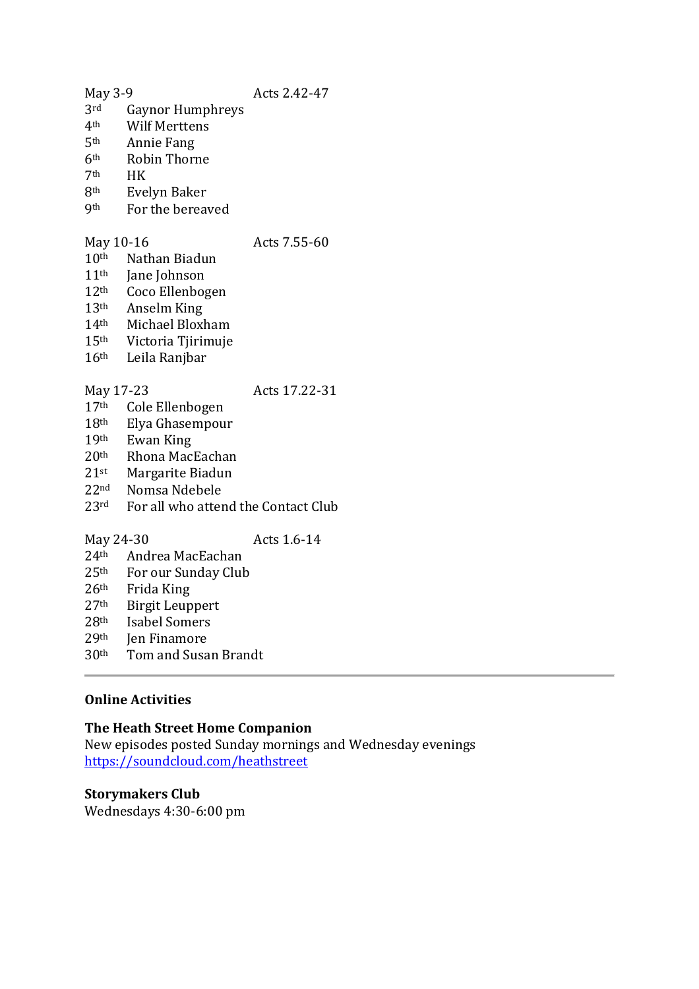- May 3-9 Acts 2.42-47<br>3rd Gavnor Humphreys
- 3<sup>rd</sup> Gaynor Humphreys<br>4<sup>th</sup> Wilf Merttens
- Wilf Merttens
- 5th Annie Fang
- $6<sup>th</sup>$  Robin Thorne<br>7<sup>th</sup> HK
- 7<sup>th</sup> HK<br>8<sup>th</sup> Eve
- **Evelyn Baker**
- 9th For the bereaved

## May 10-16 Acts 7.55-60

- 10th Nathan Biadun
- $11<sup>th</sup>$  Jane Johnson<br> $12<sup>th</sup>$  Coco Ellenbos
- Coco Ellenbogen
- 13th Anselm King
- 14th Michael Bloxham
- 15th Victoria Tjirimuje
- 16th Leila Ranjbar

# May 17-23 Acts 17.22-31

- 17th Cole Ellenbogen 18th Elya Ghasempour
- 
- 19th Ewan King<br>20th Rhona Mac
- Rhona MacEachan
- 21st Margarite Biadun
- 22nd Nomsa Ndebele
- 23<sup>rd</sup> For all who attend the Contact Club
- May 24-30 Acts 1.6-14

- $24<sup>th</sup>$  Andrea MacEachan<br> $25<sup>th</sup>$  For our Sunday Club
- For our Sunday Club
- 26th Frida King
- 27th Birgit Leuppert
- 28th Isabel Somers
- 29th Jen Finamore
- 30th Tom and Susan Brandt

# **Online Activities**

# **The Heath Street Home Companion**

New episodes posted Sunday mornings and Wednesday evenings <https://soundcloud.com/heathstreet>

# **Storymakers Club**

Wednesdays 4:30-6:00 pm